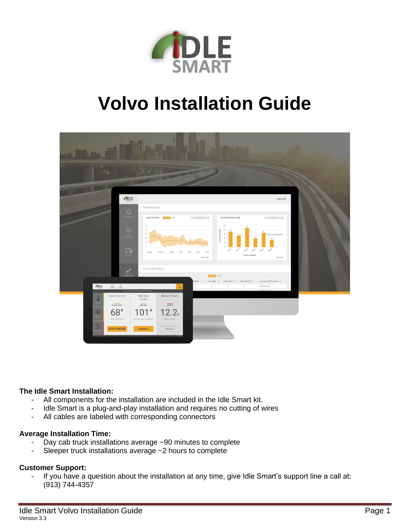

# **Volvo Installation Guide**



## **The Idle Smart Installation:**

- All components for the installation are included in the Idle Smart kit.
- Idle Smart is a plug-and-play installation and requires no cutting of wires
- All cables are labeled with corresponding connectors

#### **Average Installation Time:**

- Day cab truck installations average  $\sim$ 90 minutes to complete
- Sleeper truck installations average ~2 hours to complete

#### **Customer Support:**

- If you have a question about the installation at any time, give Idle Smart's support line a call at: (913) 744-4357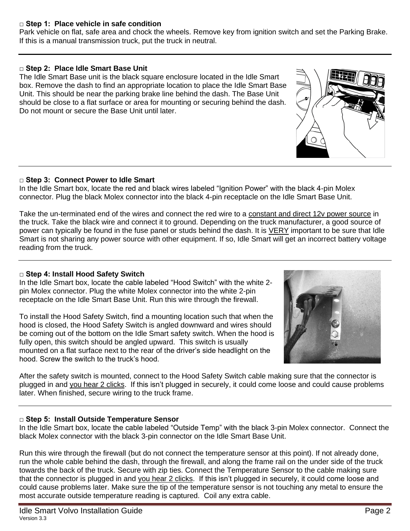## **□ Step 1: Place vehicle in safe condition**

Park vehicle on flat, safe area and chock the wheels. Remove key from ignition switch and set the Parking Brake. If this is a manual transmission truck, put the truck in neutral.

# **□ Step 2: Place Idle Smart Base Unit**

The Idle Smart Base unit is the black square enclosure located in the Idle Smart box. Remove the dash to find an appropriate location to place the Idle Smart Base Unit. This should be near the parking brake line behind the dash. The Base Unit should be close to a flat surface or area for mounting or securing behind the dash. Do not mount or secure the Base Unit until later.

#### **□ Step 3: Connect Power to Idle Smart**

In the Idle Smart box, locate the red and black wires labeled "Ignition Power" with the black 4-pin Molex connector. Plug the black Molex connector into the black 4-pin receptacle on the Idle Smart Base Unit.

Take the un-terminated end of the wires and connect the red wire to a constant and direct 12v power source in the truck. Take the black wire and connect it to ground. Depending on the truck manufacturer, a good source of power can typically be found in the fuse panel or studs behind the dash. It is VERY important to be sure that Idle Smart is not sharing any power source with other equipment. If so, Idle Smart will get an incorrect battery voltage reading from the truck.

#### **□ Step 4: Install Hood Safety Switch**

In the Idle Smart box, locate the cable labeled "Hood Switch" with the white 2 pin Molex connector. Plug the white Molex connector into the white 2-pin receptacle on the Idle Smart Base Unit. Run this wire through the firewall.

To install the Hood Safety Switch, find a mounting location such that when the hood is closed, the Hood Safety Switch is angled downward and wires should be coming out of the bottom on the Idle Smart safety switch. When the hood is fully open, this switch should be angled upward. This switch is usually mounted on a flat surface next to the rear of the driver's side headlight on the hood. Screw the switch to the truck's hood.

After the safety switch is mounted, connect to the Hood Safety Switch cable making sure that the connector is plugged in and you hear 2 clicks. If this isn't plugged in securely, it could come loose and could cause problems later. When finished, secure wiring to the truck frame.

#### **□ Step 5: Install Outside Temperature Sensor**

In the Idle Smart box, locate the cable labeled "Outside Temp" with the black 3-pin Molex connector. Connect the black Molex connector with the black 3-pin connector on the Idle Smart Base Unit.

Run this wire through the firewall (but do not connect the temperature sensor at this point). If not already done, run the whole cable behind the dash, through the firewall, and along the frame rail on the under side of the truck towards the back of the truck. Secure with zip ties. Connect the Temperature Sensor to the cable making sure that the connector is plugged in and you hear 2 clicks. If this isn't plugged in securely, it could come loose and could cause problems later. Make sure the tip of the temperature sensor is not touching any metal to ensure the most accurate outside temperature reading is captured. Coil any extra cable.



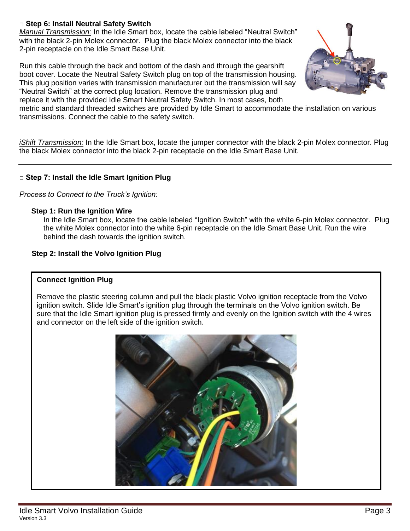# **□ Step 6: Install Neutral Safety Switch**

*Manual Transmission:* In the Idle Smart box, locate the cable labeled "Neutral Switch" with the black 2-pin Molex connector. Plug the black Molex connector into the black 2-pin receptacle on the Idle Smart Base Unit.

Run this cable through the back and bottom of the dash and through the gearshift boot cover. Locate the Neutral Safety Switch plug on top of the transmission housing. This plug position varies with transmission manufacturer but the transmission will say "Neutral Switch" at the correct plug location. Remove the transmission plug and replace it with the provided Idle Smart Neutral Safety Switch. In most cases, both



metric and standard threaded switches are provided by Idle Smart to accommodate the installation on various transmissions. Connect the cable to the safety switch.

*iShift Transmission:* In the Idle Smart box, locate the jumper connector with the black 2-pin Molex connector. Plug the black Molex connector into the black 2-pin receptacle on the Idle Smart Base Unit.

#### **□ Step 7: Install the Idle Smart Ignition Plug**

*Process to Connect to the Truck's Ignition:*

#### **Step 1: Run the Ignition Wire**

In the Idle Smart box, locate the cable labeled "Ignition Switch" with the white 6-pin Molex connector. Plug the white Molex connector into the white 6-pin receptacle on the Idle Smart Base Unit. Run the wire behind the dash towards the ignition switch.

#### **Step 2: Install the Volvo Ignition Plug**

#### **Connect Ignition Plug**

Remove the plastic steering column and pull the black plastic Volvo ignition receptacle from the Volvo ignition switch. Slide Idle Smart's ignition plug through the terminals on the Volvo ignition switch. Be sure that the Idle Smart ignition plug is pressed firmly and evenly on the Ignition switch with the 4 wires and connector on the left side of the ignition switch.

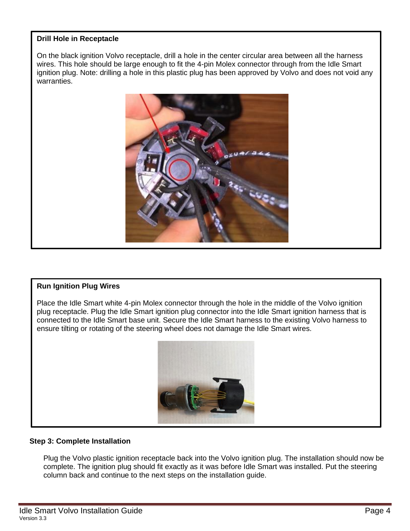# **Drill Hole in Receptacle**

On the black ignition Volvo receptacle, drill a hole in the center circular area between all the harness wires. This hole should be large enough to fit the 4-pin Molex connector through from the Idle Smart ignition plug. Note: drilling a hole in this plastic plug has been approved by Volvo and does not void any warranties.



#### **Run Ignition Plug Wires**

Place the Idle Smart white 4-pin Molex connector through the hole in the middle of the Volvo ignition plug receptacle. Plug the Idle Smart ignition plug connector into the Idle Smart ignition harness that is connected to the Idle Smart base unit. Secure the Idle Smart harness to the existing Volvo harness to ensure tilting or rotating of the steering wheel does not damage the Idle Smart wires.



#### **Step 3: Complete Installation**

Plug the Volvo plastic ignition receptacle back into the Volvo ignition plug. The installation should now be complete. The ignition plug should fit exactly as it was before Idle Smart was installed. Put the steering column back and continue to the next steps on the installation guide.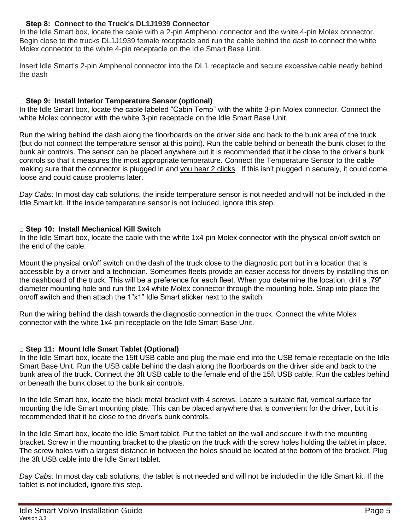# **□ Step 8: Connect to the Truck's DL1J1939 Connector**

In the Idle Smart box, locate the cable with a 2-pin Amphenol connector and the white 4-pin Molex connector. Begin close to the trucks DL1J1939 female receptacle and run the cable behind the dash to connect the white Molex connector to the white 4-pin receptacle on the Idle Smart Base Unit.

Insert Idle Smart's 2-pin Amphenol connector into the DL1 receptacle and secure excessive cable neatly behind the dash

#### **□ Step 9: Install Interior Temperature Sensor (optional)**

In the Idle Smart box, locate the cable labeled "Cabin Temp" with the white 3-pin Molex connector. Connect the white Molex connector with the white 3-pin receptacle on the Idle Smart Base Unit.

Run the wiring behind the dash along the floorboards on the driver side and back to the bunk area of the truck (but do not connect the temperature sensor at this point). Run the cable behind or beneath the bunk closet to the bunk air controls. The sensor can be placed anywhere but it is recommended that it be close to the driver's bunk controls so that it measures the most appropriate temperature. Connect the Temperature Sensor to the cable making sure that the connector is plugged in and you hear 2 clicks. If this isn't plugged in securely, it could come loose and could cause problems later.

*Day Cabs:* In most day cab solutions, the inside temperature sensor is not needed and will not be included in the Idle Smart kit. If the inside temperature sensor is not included, ignore this step.

#### **□ Step 10: Install Mechanical Kill Switch**

In the Idle Smart box, locate the cable with the white 1x4 pin Molex connector with the physical on/off switch on the end of the cable.

Mount the physical on/off switch on the dash of the truck close to the diagnostic port but in a location that is accessible by a driver and a technician. Sometimes fleets provide an easier access for drivers by installing this on the dashboard of the truck. This will be a preference for each fleet. When you determine the location, drill a .79" diameter mounting hole and run the 1x4 white Molex connector through the mounting hole. Snap into place the on/off switch and then attach the 1"x1" Idle Smart sticker next to the switch.

Run the wiring behind the dash towards the diagnostic connection in the truck. Connect the white Molex connector with the white 1x4 pin receptacle on the Idle Smart Base Unit.

#### **□ Step 11: Mount Idle Smart Tablet (Optional)**

In the Idle Smart box, locate the 15ft USB cable and plug the male end into the USB female receptacle on the Idle Smart Base Unit. Run the USB cable behind the dash along the floorboards on the driver side and back to the bunk area of the truck. Connect the 3ft USB cable to the female end of the 15ft USB cable. Run the cables behind or beneath the bunk closet to the bunk air controls.

In the Idle Smart box, locate the black metal bracket with 4 screws. Locate a suitable flat, vertical surface for mounting the Idle Smart mounting plate. This can be placed anywhere that is convenient for the driver, but it is recommended that it be close to the driver's bunk controls.

In the Idle Smart box, locate the Idle Smart tablet. Put the tablet on the wall and secure it with the mounting bracket. Screw in the mounting bracket to the plastic on the truck with the screw holes holding the tablet in place. The screw holes with a largest distance in between the holes should be located at the bottom of the bracket. Plug the 3ft USB cable into the Idle Smart tablet.

*Day Cabs:* In most day cab solutions, the tablet is not needed and will not be included in the Idle Smart kit. If the tablet is not included, ignore this step.